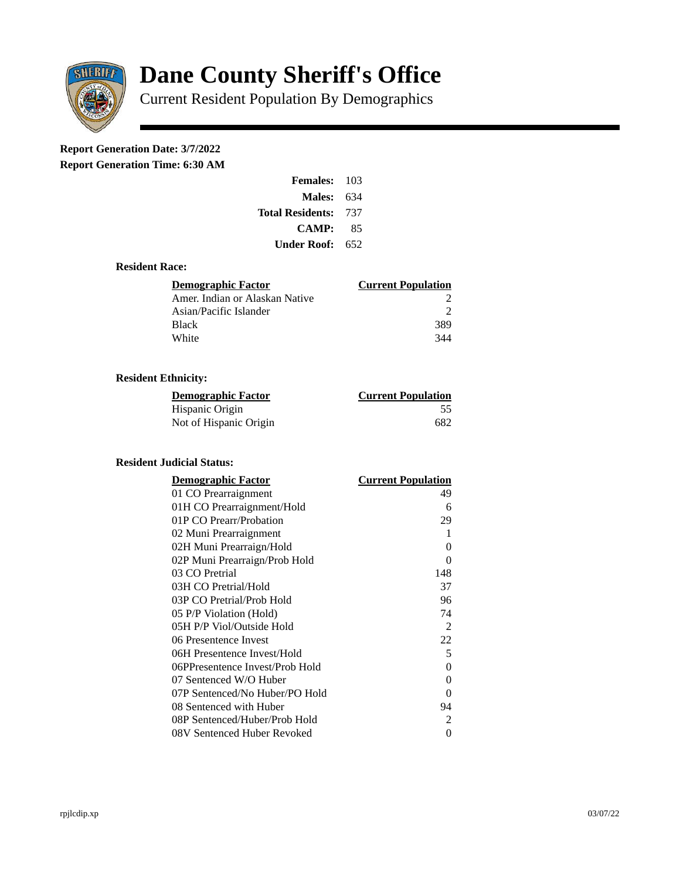

# **Dane County Sheriff's Office**

Current Resident Population By Demographics

# **Report Generation Date: 3/7/2022**

**Report Generation Time: 6:30 AM** 

| Females:                    | 103 |  |
|-----------------------------|-----|--|
| Males:                      | 634 |  |
| <b>Total Residents: 737</b> |     |  |
| CAMP:                       | 85  |  |
| Under Roof:                 | 652 |  |

## **Resident Race:**

| Demographic Factor             | <b>Current Population</b> |
|--------------------------------|---------------------------|
| Amer. Indian or Alaskan Native |                           |
| Asian/Pacific Islander         | ר                         |
| <b>Black</b>                   | 389                       |
| White                          | 344                       |

# **Resident Ethnicity:**

| <u> Demographic Factor</u> | <b>Current Population</b> |
|----------------------------|---------------------------|
| Hispanic Origin            | 55                        |
| Not of Hispanic Origin     | 682                       |

#### **Resident Judicial Status:**

| <b>Demographic Factor</b>       | <b>Current Population</b> |
|---------------------------------|---------------------------|
| 01 CO Prearraignment            | 49                        |
| 01H CO Prearraignment/Hold      | 6                         |
| 01P CO Prearr/Probation         | 29                        |
| 02 Muni Prearraignment          | 1                         |
| 02H Muni Prearraign/Hold        | 0                         |
| 02P Muni Prearraign/Prob Hold   | 0                         |
| 03 CO Pretrial                  | 148                       |
| 03H CO Pretrial/Hold            | 37                        |
| 03P CO Pretrial/Prob Hold       | 96                        |
| 05 P/P Violation (Hold)         | 74                        |
| 05H P/P Viol/Outside Hold       | $\overline{2}$            |
| 06 Presentence Invest           | 22                        |
| 06H Presentence Invest/Hold     | 5                         |
| 06PPresentence Invest/Prob Hold | 0                         |
| 07 Sentenced W/O Huber          | 0                         |
| 07P Sentenced/No Huber/PO Hold  | 0                         |
| 08 Sentenced with Huber         | 94                        |
| 08P Sentenced/Huber/Prob Hold   | $\overline{2}$            |
| 08V Sentenced Huber Revoked     | 0                         |